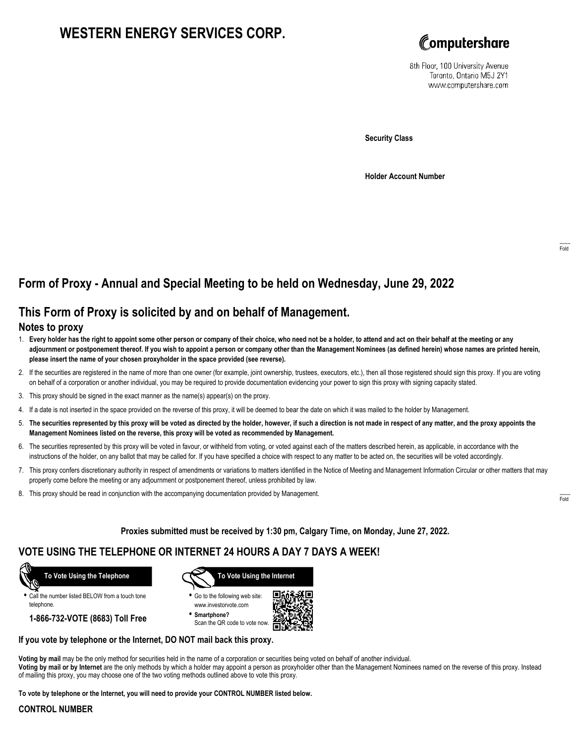# **WESTERN ENERGY SERVICES CORP.**



8th Floor, 100 University Avenue Toronto, Ontario M5J 2Y1 www.computershare.com

**Security Class**

**Holder Account Number**

## **Form of Proxy - Annual and Special Meeting to be held on Wednesday, June 29, 2022**

## **This Form of Proxy is solicited by and on behalf of Management.**

#### **Notes to proxy**

- 1. **Every holder has the right to appoint some other person or company of their choice, who need not be a holder, to attend and act on their behalf at the meeting or any adjournment or postponement thereof. If you wish to appoint a person or company other than the Management Nominees (as defined herein) whose names are printed herein, please insert the name of your chosen proxyholder in the space provided (see reverse).**
- 2. If the securities are registered in the name of more than one owner (for example, joint ownership, trustees, executors, etc.), then all those registered should sign this proxy. If you are voting on behalf of a corporation or another individual, you may be required to provide documentation evidencing your power to sign this proxy with signing capacity stated.
- 3. This proxy should be signed in the exact manner as the name(s) appear(s) on the proxy.
- 4. If a date is not inserted in the space provided on the reverse of this proxy, it will be deemed to bear the date on which it was mailed to the holder by Management.
- 5. **The securities represented by this proxy will be voted as directed by the holder, however, if such a direction is not made in respect of any matter, and the proxy appoints the Management Nominees listed on the reverse, this proxy will be voted as recommended by Management.**
- 6. The securities represented by this proxy will be voted in favour, or withheld from voting, or voted against each of the matters described herein, as applicable, in accordance with the instructions of the holder, on any ballot that may be called for. If you have specified a choice with respect to any matter to be acted on, the securities will be voted accordingly.
- 7. This proxy confers discretionary authority in respect of amendments or variations to matters identified in the Notice of Meeting and Management Information Circular or other matters that may properly come before the meeting or any adjournment or postponement thereof, unless prohibited by law.
- 8. This proxy should be read in conjunction with the accompanying documentation provided by Management.

**Proxies submitted must be received by 1:30 pm, Calgary Time, on Monday, June 27, 2022.**

## **VOTE USING THE TELEPHONE OR INTERNET 24 HOURS A DAY 7 DAYS A WEEK!**



**•** Call the number listed BELOW from a touch tone telephone.

**1-866-732-VOTE (8683) Toll Free**



**•** Go to the following web site: www.investorvote.com

**• Smartphone?** Scan the QR code to vote now.



#### **If you vote by telephone or the Internet, DO NOT mail back this proxy.**

**Voting by mail** may be the only method for securities held in the name of a corporation or securities being voted on behalf of another individual. **Voting by mail or by Internet** are the only methods by which a holder may appoint a person as proxyholder other than the Management Nominees named on the reverse of this proxy. Instead of mailing this proxy, you may choose one of the two voting methods outlined above to vote this proxy.

**To vote by telephone or the Internet, you will need to provide your CONTROL NUMBER listed below.**

#### **CONTROL NUMBER**